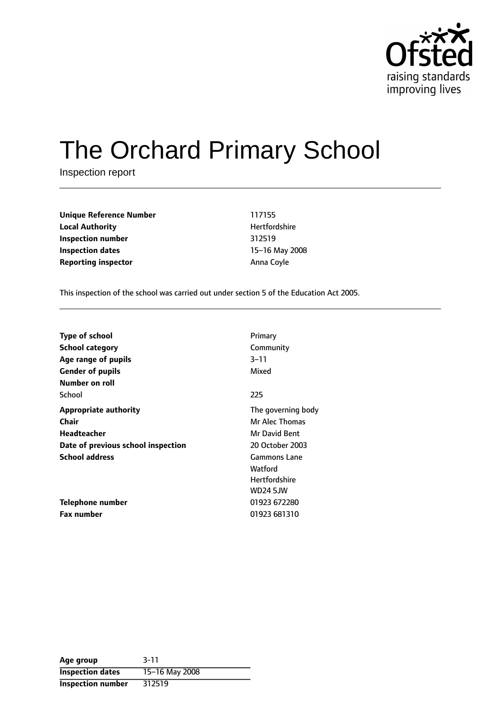

# The Orchard Primary School

Inspection report

**Unique Reference Number** 117155 **Local Authority Material Authority Hertfordshire Inspection number** 312519 **Inspection dates** 15-16 May 2008 **Reporting inspector Anna Coyle** 

This inspection of the school was carried out under section 5 of the Education Act 2005.

| <b>Type of school</b><br><b>School category</b> | Primary<br>Community |
|-------------------------------------------------|----------------------|
| Age range of pupils                             | 3–11                 |
| <b>Gender of pupils</b>                         | Mixed                |
| Number on roll                                  |                      |
| School                                          | 225                  |
| <b>Appropriate authority</b>                    | The governing body   |
| <b>Chair</b>                                    | Mr Alec Thomas       |
| Headteacher                                     | Mr David Bent        |
| Date of previous school inspection              | 20 October 2003      |
| <b>School address</b>                           | <b>Gammons Lane</b>  |
|                                                 | Watford              |
|                                                 | <b>Hertfordshire</b> |
|                                                 | <b>WD24 5JW</b>      |
| Telephone number                                | 01923 672280         |
| <b>Fax number</b>                               | 01923 681310         |

| Age group                | $3 - 11$       |
|--------------------------|----------------|
| <b>Inspection dates</b>  | 15-16 May 2008 |
| <b>Inspection number</b> | 312519         |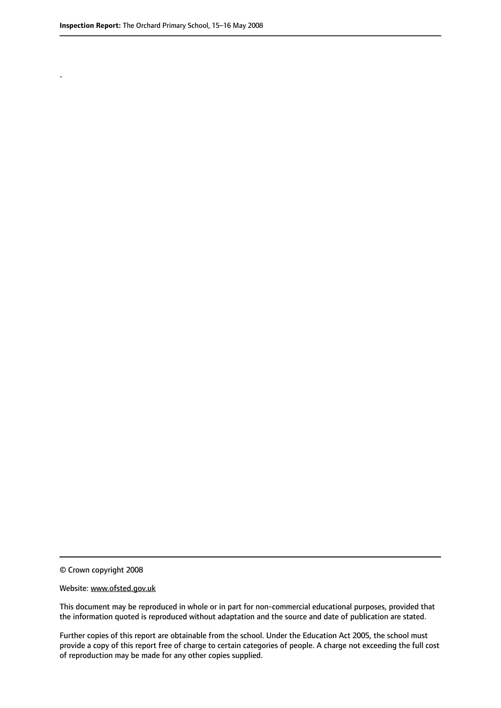.

© Crown copyright 2008

#### Website: www.ofsted.gov.uk

This document may be reproduced in whole or in part for non-commercial educational purposes, provided that the information quoted is reproduced without adaptation and the source and date of publication are stated.

Further copies of this report are obtainable from the school. Under the Education Act 2005, the school must provide a copy of this report free of charge to certain categories of people. A charge not exceeding the full cost of reproduction may be made for any other copies supplied.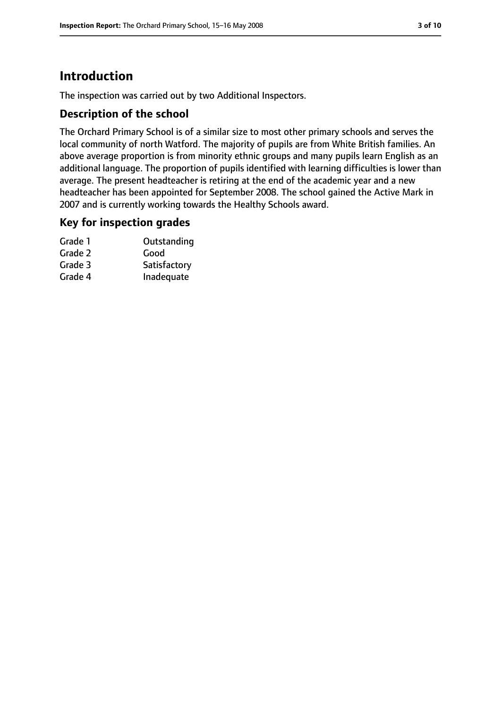# **Introduction**

The inspection was carried out by two Additional Inspectors.

#### **Description of the school**

The Orchard Primary School is of a similar size to most other primary schools and serves the local community of north Watford. The majority of pupils are from White British families. An above average proportion is from minority ethnic groups and many pupils learn English as an additional language. The proportion of pupils identified with learning difficulties is lower than average. The present headteacher is retiring at the end of the academic year and a new headteacher has been appointed for September 2008. The school gained the Active Mark in 2007 and is currently working towards the Healthy Schools award.

#### **Key for inspection grades**

| Grade 1 | Outstanding  |
|---------|--------------|
| Grade 2 | Good         |
| Grade 3 | Satisfactory |
| Grade 4 | Inadequate   |
|         |              |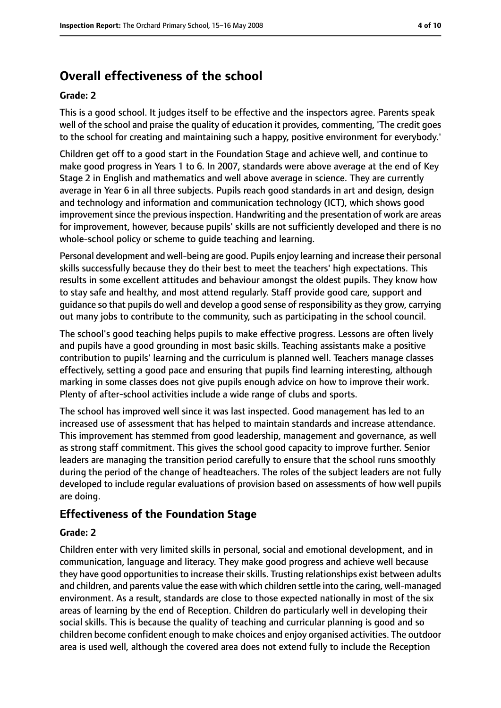# **Overall effectiveness of the school**

#### **Grade: 2**

This is a good school. It judges itself to be effective and the inspectors agree. Parents speak well of the school and praise the quality of education it provides, commenting, 'The credit goes to the school for creating and maintaining such a happy, positive environment for everybody.'

Children get off to a good start in the Foundation Stage and achieve well, and continue to make good progress in Years 1 to 6. In 2007, standards were above average at the end of Key Stage 2 in English and mathematics and well above average in science. They are currently average in Year 6 in all three subjects. Pupils reach good standards in art and design, design and technology and information and communication technology (ICT), which shows good improvement since the previous inspection. Handwriting and the presentation of work are areas for improvement, however, because pupils' skills are not sufficiently developed and there is no whole-school policy or scheme to guide teaching and learning.

Personal development and well-being are good. Pupils enjoy learning and increase their personal skills successfully because they do their best to meet the teachers' high expectations. This results in some excellent attitudes and behaviour amongst the oldest pupils. They know how to stay safe and healthy, and most attend regularly. Staff provide good care, support and guidance so that pupils do well and develop a good sense of responsibility asthey grow, carrying out many jobs to contribute to the community, such as participating in the school council.

The school's good teaching helps pupils to make effective progress. Lessons are often lively and pupils have a good grounding in most basic skills. Teaching assistants make a positive contribution to pupils' learning and the curriculum is planned well. Teachers manage classes effectively, setting a good pace and ensuring that pupils find learning interesting, although marking in some classes does not give pupils enough advice on how to improve their work. Plenty of after-school activities include a wide range of clubs and sports.

The school has improved well since it was last inspected. Good management has led to an increased use of assessment that has helped to maintain standards and increase attendance. This improvement has stemmed from good leadership, management and governance, as well as strong staff commitment. This gives the school good capacity to improve further. Senior leaders are managing the transition period carefully to ensure that the school runs smoothly during the period of the change of headteachers. The roles of the subject leaders are not fully developed to include regular evaluations of provision based on assessments of how well pupils are doing.

## **Effectiveness of the Foundation Stage**

#### **Grade: 2**

Children enter with very limited skills in personal, social and emotional development, and in communication, language and literacy. They make good progress and achieve well because they have good opportunities to increase their skills. Trusting relationships exist between adults and children, and parents value the ease with which children settle into the caring, well-managed environment. As a result, standards are close to those expected nationally in most of the six areas of learning by the end of Reception. Children do particularly well in developing their social skills. This is because the quality of teaching and curricular planning is good and so children become confident enough to make choices and enjoy organised activities. The outdoor area is used well, although the covered area does not extend fully to include the Reception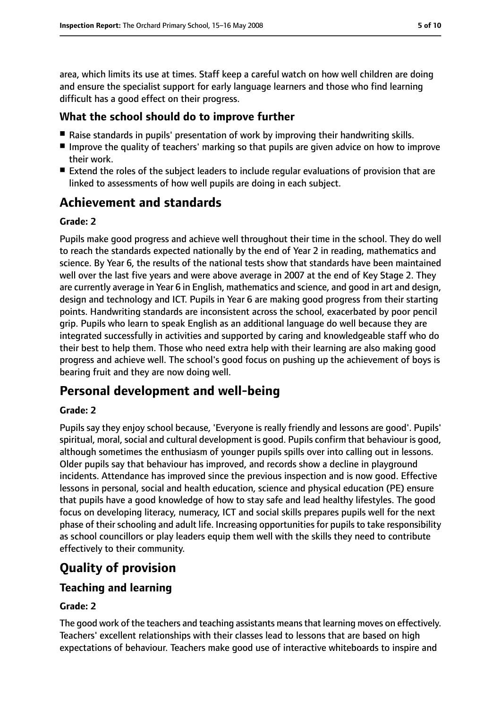area, which limits its use at times. Staff keep a careful watch on how well children are doing and ensure the specialist support for early language learners and those who find learning difficult has a good effect on their progress.

## **What the school should do to improve further**

- Raise standards in pupils' presentation of work by improving their handwriting skills.
- Improve the quality of teachers' marking so that pupils are given advice on how to improve their work.
- Extend the roles of the subject leaders to include regular evaluations of provision that are linked to assessments of how well pupils are doing in each subject.

# **Achievement and standards**

#### **Grade: 2**

Pupils make good progress and achieve well throughout their time in the school. They do well to reach the standards expected nationally by the end of Year 2 in reading, mathematics and science. By Year 6, the results of the national tests show that standards have been maintained well over the last five years and were above average in 2007 at the end of Key Stage 2. They are currently average in Year 6 in English, mathematics and science, and good in art and design, design and technology and ICT. Pupils in Year 6 are making good progress from their starting points. Handwriting standards are inconsistent across the school, exacerbated by poor pencil grip. Pupils who learn to speak English as an additional language do well because they are integrated successfully in activities and supported by caring and knowledgeable staff who do their best to help them. Those who need extra help with their learning are also making good progress and achieve well. The school's good focus on pushing up the achievement of boys is bearing fruit and they are now doing well.

# **Personal development and well-being**

#### **Grade: 2**

Pupils say they enjoy school because, 'Everyone is really friendly and lessons are good'. Pupils' spiritual, moral, social and cultural development is good. Pupils confirm that behaviour is good, although sometimes the enthusiasm of younger pupils spills over into calling out in lessons. Older pupils say that behaviour has improved, and records show a decline in playground incidents. Attendance has improved since the previous inspection and is now good. Effective lessons in personal, social and health education, science and physical education (PE) ensure that pupils have a good knowledge of how to stay safe and lead healthy lifestyles. The good focus on developing literacy, numeracy, ICT and social skills prepares pupils well for the next phase of their schooling and adult life. Increasing opportunities for pupils to take responsibility as school councillors or play leaders equip them well with the skills they need to contribute effectively to their community.

# **Quality of provision**

## **Teaching and learning**

#### **Grade: 2**

The good work of the teachers and teaching assistants meansthat learning moves on effectively. Teachers' excellent relationships with their classes lead to lessons that are based on high expectations of behaviour. Teachers make good use of interactive whiteboards to inspire and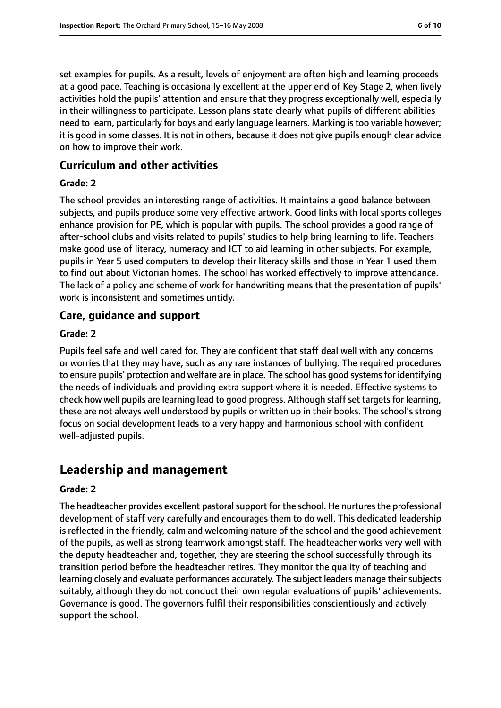set examples for pupils. As a result, levels of enjoyment are often high and learning proceeds at a good pace. Teaching is occasionally excellent at the upper end of Key Stage 2, when lively activities hold the pupils' attention and ensure that they progress exceptionally well, especially in their willingness to participate. Lesson plans state clearly what pupils of different abilities need to learn, particularly for boys and early language learners. Marking is too variable however; it is good in some classes. It is not in others, because it does not give pupils enough clear advice on how to improve their work.

#### **Curriculum and other activities**

#### **Grade: 2**

The school provides an interesting range of activities. It maintains a good balance between subjects, and pupils produce some very effective artwork. Good links with local sports colleges enhance provision for PE, which is popular with pupils. The school provides a good range of after-school clubs and visits related to pupils' studies to help bring learning to life. Teachers make good use of literacy, numeracy and ICT to aid learning in other subjects. For example, pupils in Year 5 used computers to develop their literacy skills and those in Year 1 used them to find out about Victorian homes. The school has worked effectively to improve attendance. The lack of a policy and scheme of work for handwriting means that the presentation of pupils' work is inconsistent and sometimes untidy.

#### **Care, guidance and support**

#### **Grade: 2**

Pupils feel safe and well cared for. They are confident that staff deal well with any concerns or worries that they may have, such as any rare instances of bullying. The required procedures to ensure pupils' protection and welfare are in place. The school has good systemsfor identifying the needs of individuals and providing extra support where it is needed. Effective systems to check how well pupils are learning lead to good progress. Although staff set targets for learning, these are not always well understood by pupils or written up in their books. The school's strong focus on social development leads to a very happy and harmonious school with confident well-adjusted pupils.

# **Leadership and management**

#### **Grade: 2**

The headteacher provides excellent pastoral support for the school. He nurtures the professional development of staff very carefully and encourages them to do well. This dedicated leadership is reflected in the friendly, calm and welcoming nature of the school and the good achievement of the pupils, as well as strong teamwork amongst staff. The headteacher works very well with the deputy headteacher and, together, they are steering the school successfully through its transition period before the headteacher retires. They monitor the quality of teaching and learning closely and evaluate performances accurately. The subject leaders manage their subjects suitably, although they do not conduct their own regular evaluations of pupils' achievements. Governance is good. The governors fulfil their responsibilities conscientiously and actively support the school.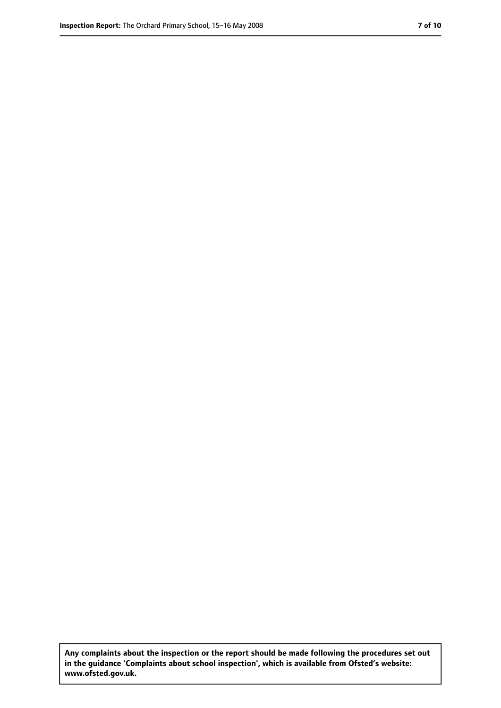**Any complaints about the inspection or the report should be made following the procedures set out in the guidance 'Complaints about school inspection', which is available from Ofsted's website: www.ofsted.gov.uk.**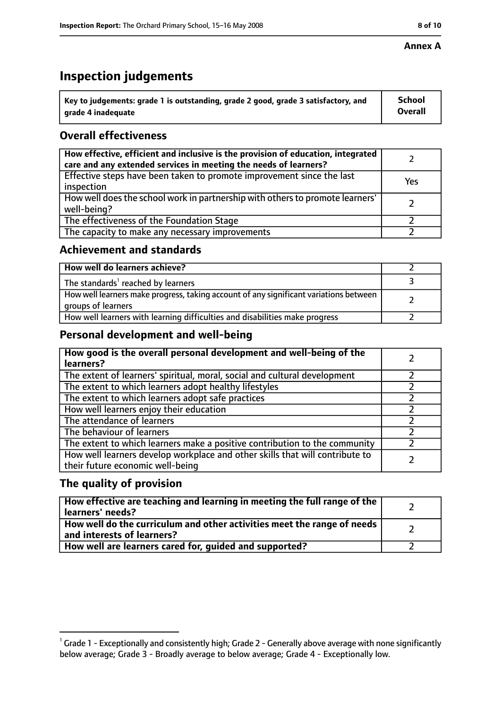#### **Annex A**

# **Inspection judgements**

| $^{\backprime}$ Key to judgements: grade 1 is outstanding, grade 2 good, grade 3 satisfactory, and | <b>School</b>  |
|----------------------------------------------------------------------------------------------------|----------------|
| arade 4 inadequate                                                                                 | <b>Overall</b> |

## **Overall effectiveness**

| How effective, efficient and inclusive is the provision of education, integrated<br>care and any extended services in meeting the needs of learners? |     |
|------------------------------------------------------------------------------------------------------------------------------------------------------|-----|
| Effective steps have been taken to promote improvement since the last<br>inspection                                                                  | Yes |
| How well does the school work in partnership with others to promote learners'<br>well-being?                                                         |     |
| The effectiveness of the Foundation Stage                                                                                                            |     |
| The capacity to make any necessary improvements                                                                                                      |     |

### **Achievement and standards**

| How well do learners achieve?                                                                               |  |
|-------------------------------------------------------------------------------------------------------------|--|
| The standards <sup>1</sup> reached by learners                                                              |  |
| How well learners make progress, taking account of any significant variations between<br>groups of learners |  |
| How well learners with learning difficulties and disabilities make progress                                 |  |

## **Personal development and well-being**

| How good is the overall personal development and well-being of the<br>learners?                                  |  |
|------------------------------------------------------------------------------------------------------------------|--|
| The extent of learners' spiritual, moral, social and cultural development                                        |  |
| The extent to which learners adopt healthy lifestyles                                                            |  |
| The extent to which learners adopt safe practices                                                                |  |
| How well learners enjoy their education                                                                          |  |
| The attendance of learners                                                                                       |  |
| The behaviour of learners                                                                                        |  |
| The extent to which learners make a positive contribution to the community                                       |  |
| How well learners develop workplace and other skills that will contribute to<br>their future economic well-being |  |

## **The quality of provision**

| How effective are teaching and learning in meeting the full range of the<br>learners' needs?          |  |
|-------------------------------------------------------------------------------------------------------|--|
| How well do the curriculum and other activities meet the range of needs<br>and interests of learners? |  |
| How well are learners cared for, quided and supported?                                                |  |

 $^1$  Grade 1 - Exceptionally and consistently high; Grade 2 - Generally above average with none significantly below average; Grade 3 - Broadly average to below average; Grade 4 - Exceptionally low.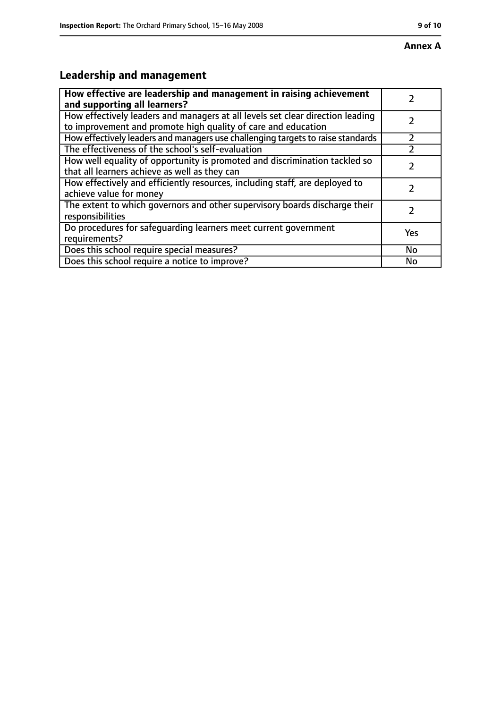# **Leadership and management**

| How effective are leadership and management in raising achievement<br>and supporting all learners?                                              |     |
|-------------------------------------------------------------------------------------------------------------------------------------------------|-----|
| How effectively leaders and managers at all levels set clear direction leading<br>to improvement and promote high quality of care and education |     |
| How effectively leaders and managers use challenging targets to raise standards                                                                 |     |
| The effectiveness of the school's self-evaluation                                                                                               |     |
| How well equality of opportunity is promoted and discrimination tackled so<br>that all learners achieve as well as they can                     |     |
| How effectively and efficiently resources, including staff, are deployed to<br>achieve value for money                                          |     |
| The extent to which governors and other supervisory boards discharge their<br>responsibilities                                                  |     |
| Do procedures for safequarding learners meet current government<br>requirements?                                                                | Yes |
| Does this school require special measures?                                                                                                      | No  |
| Does this school require a notice to improve?                                                                                                   | No  |